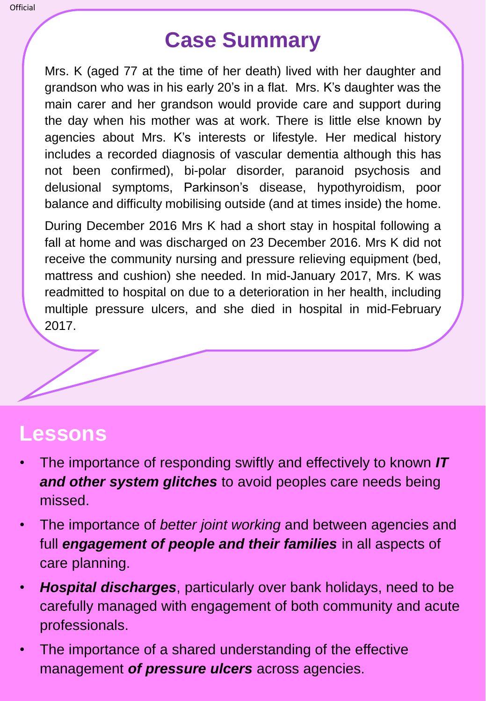## **Case Summary**

Mrs. K (aged 77 at the time of her death) lived with her daughter and grandson who was in his early 20's in a flat. Mrs. K's daughter was the main carer and her grandson would provide care and support during the day when his mother was at work. There is little else known by agencies about Mrs. K's interests or lifestyle. Her medical history includes a recorded diagnosis of vascular dementia although this has not been confirmed), bi-polar disorder, paranoid psychosis and delusional symptoms, Parkinson's disease, hypothyroidism, poor balance and difficulty mobilising outside (and at times inside) the home.

During December 2016 Mrs K had a short stay in hospital following a fall at home and was discharged on 23 December 2016. Mrs K did not receive the community nursing and pressure relieving equipment (bed, mattress and cushion) she needed. In mid-January 2017, Mrs. K was readmitted to hospital on due to a deterioration in her health, including multiple pressure ulcers, and she died in hospital in mid-February 2017.



## **Lessons**

- The importance of responding swiftly and effectively to known *IT and other system glitches* to avoid peoples care needs being missed.
- The importance of *better joint working* and between agencies and full *engagement of people and their families* in all aspects of care planning.
- *Hospital discharges*, particularly over bank holidays, need to be carefully managed with engagement of both community and acute professionals.
- The importance of a shared understanding of the effective management *of pressure ulcers* across agencies.